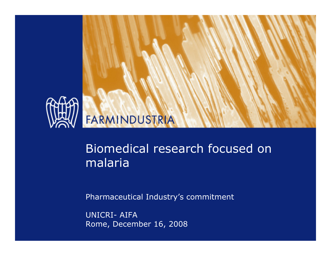

# FARMINDUSTRIA

## Biomedical research focused on malaria

Pharmaceutical Industry's commitment

UNICRI- AIFARome, December 16, 2008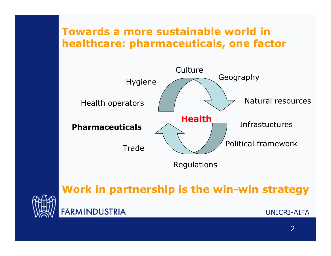### **Towards a more sustainable world in healthcare: pharmaceuticals, one factor**



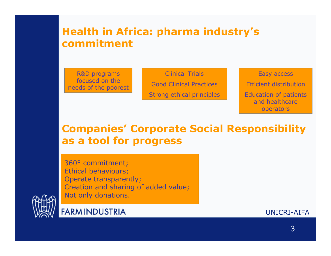### **Health in Africa: pharma industry's commitment**

R&D programs focused on the needs of the poorest

Clinical TrialsGood Clinical PracticesStrong ethical principles

Easy access Efficient distributionEducation of patients and healthcare operators

### **Companies' Corporate Social Responsibility as a tool for progress**

360° commitment; Ethical behaviours; Operate transparently; Creation and sharing of added value; Not only donations.



**FARMINDUSTRIA**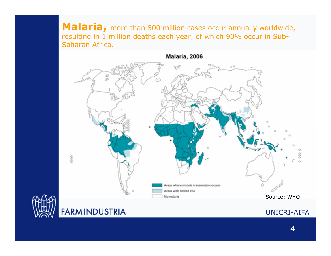Malaria, more than 500 million cases occur annually worldwide, resulting in 1 million deaths each year, of which 90% occur in Sub-Saharan Africa.





### **FARMINDUSTRIA**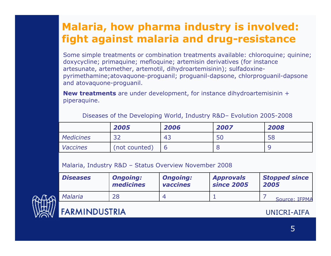## **Malaria, how pharma industry is involved: fight against malaria and drug-resistance**

Some simple treatments or combination treatments available: chloroquine; quinine; doxycycline; primaquine; mefloquine; artemisin derivatives (for instance artesunate, artemether, artemotil, dihydroartemisinin); sulfadoxinepyrimethamine;atovaquone-proguanil; proguanil-dapsone, chlorproguanil-dapsone and atovaquone-proguanil.

**New treatments** are under development, for instance dihydroartemisinin <sup>+</sup> piperaquine.

|                  | 2005          | 2006 | 2007 | 2008 |
|------------------|---------------|------|------|------|
| <b>Medicines</b> | 32            | 43   |      | 58   |
| <b>Vaccines</b>  | (not counted) |      |      |      |

Diseases of the Developing World, Industry R&D– Evolution 2005-2008

Malaria, Industry R&D – Status Overview November 2008

| <b>Diseases</b> | <b>Ongoing:</b> | <b>Ongoing:</b> | <b>Approvals</b>  | <b>Stopped since</b> |  |
|-----------------|-----------------|-----------------|-------------------|----------------------|--|
|                 | medicines       | vaccines        | <b>since 2005</b> | 2005                 |  |
| Malaria         | 28              |                 |                   | Source: IFPMA        |  |



### **FARMINDUSTRIA**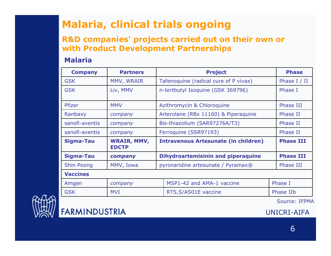## **Malaria, clinical trials ongoing**

### **R&D companies' projects carried out on their own or with Product Development Partnerships**

#### **Malaria**

| <b>Company</b>    | <b>Partners</b>                    | <b>Project</b>                              |                                       | <b>Phase</b>     |                |  |  |  |
|-------------------|------------------------------------|---------------------------------------------|---------------------------------------|------------------|----------------|--|--|--|
| <b>GSK</b>        | MMV, WRAIR                         |                                             | Tafenoquine (radical cure of P vivax) |                  | Phase $I / II$ |  |  |  |
| <b>GSK</b>        | Liv, MMV                           |                                             | n-tertbutyl Isoquine (GSK 369796)     | Phase I          |                |  |  |  |
| Pfizer            | <b>MMV</b>                         |                                             | Azithromycin & Chloroquine            |                  | Phase III      |  |  |  |
| Ranbaxy           | company                            |                                             | Arterolane (RBx 11160) & Piperaquine  | Phase II         |                |  |  |  |
| sanofi-aventis    | company                            |                                             | Bis-thiazolium (SAR97276A/T3)         | Phase II         |                |  |  |  |
| sanofi-aventis    | company                            |                                             | Ferroquine (SSR97193)                 |                  | Phase II       |  |  |  |
| <b>Sigma-Tau</b>  | <b>WRAIR, MMV,</b><br><b>EDCTP</b> | <b>Intravenous Artesunate (in children)</b> |                                       | <b>Phase III</b> |                |  |  |  |
| Sigma-Tau         | company                            | <b>Dihydroartemisinin and piperaquine</b>   |                                       | <b>Phase III</b> |                |  |  |  |
| <b>Shin Poong</b> | MMV, Iowa                          | pyronaridine artesunate / Pyramax®          |                                       | Phase III        |                |  |  |  |
| <b>Vaccines</b>   |                                    |                                             |                                       |                  |                |  |  |  |
| Amgen             | company                            | MSP1-42 and AMA-1 vaccine                   |                                       |                  | Phase I        |  |  |  |
| <b>GSK</b>        | <b>MVI</b>                         |                                             | RTS, S/AS01E vaccine                  |                  | Phase IIb      |  |  |  |



**FARMINDUSTRIA** 

Source: IFPMA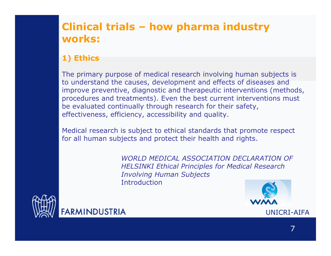## **Clinical trials – how pharma industry works:**

### **1) Ethics**

The primary purpose of medical research involving human subjects is to understand the causes, development and effects of diseases and improve preventive, diagnostic and therapeutic interventions (methods, procedures and treatments). Even the best current interventions must be evaluated continually through research for their safety, effectiveness, efficiency, accessibility and quality.

Medical research is subject to ethical standards that promote respect for all human subjects and protect their health and rights.

> *WORLD MEDICAL ASSOCIATION DECLARATION OF HELSINKI Ethical Principles for Medical Research Involving Human Subjects* **Introduction**



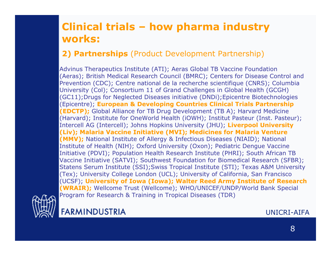## **Clinical trials – how pharma industry works:**

### **2) Partnerships** (Product Development Partnership)

Advinus Therapeutics Institute (ATI); Aeras Global TB Vaccine Foundation (Aeras); British Medical Research Council (BMRC); Centers for Disease Control and Prevention (CDC); Centre national de la recherche scientifique (CNRS); Columbia University (Col); Consortium 11 of Grand Challenges in Global Health (GCGH) (GC11);Drugs for Neglected Diseases initiative (DNDi);Epicentre Biotechnologies (Epicentre); **European & Developing Countries Clinical Trials Partnership (EDCTP);** Global Alliance for TB Drug Development (TB A); Harvard Medicine (Harvard); Institute for OneWorld Health (iOWH); Institut Pasteur (Inst. Pasteur); Intercell AG (Intercell); Johns Hopkins University (JHU); **Liverpool University (Liv); Malaria Vaccine Initiative (MVI); Medicines for Malaria Venture (MMV);** National Institute of Allergy & Infectious Diseases (NIAID); National Institute of Health (NIH); Oxford University (Oxon); Pediatric Dengue Vaccine Initiative (PDVI); Population Health Research Institute (PHRI); South African TB Vaccine Initiative (SATVI); Southwest Foundation for Biomedical Research (SFBR); Statens Serum Institute (SSI);Swiss Tropical Institute (STI); Texas A&M University (Tex); University College London (UCL); University of California, San Francisco (UCSF); **University of Iowa (Iowa); Walter Reed Army Institute of Research (WRAIR);** Wellcome Trust (Wellcome); WHO/UNICEF/UNDP/World Bank Special Program for Research & Training in Tropical Diseases (TDR)



**FARMINDUSTRIA**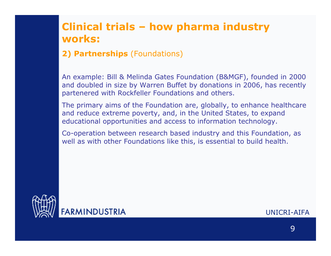### **Clinical trials – how pharma industry works:**

### **2) Partnerships** (Foundations)

An example: Bill & Melinda Gates Foundation (B&MGF), founded in 2000 and doubled in size by Warren Buffet by donations in 2006, has recently partenered with Rockfeller Foundations and others.

The primary aims of the Foundation are, globally, to enhance healthcare and reduce extreme poverty, and, in the United States, to expand educational opportunities and access to information technology.

Co-operation between research based industry and this Foundation, as well as with other Foundations like this, is essential to build health.

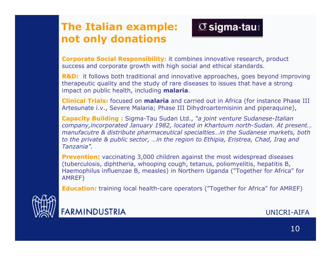## **The Italian example: not only donations**



**Corporate Social Responsibility:** it combines innovative research, product success and corporate growth with high social and ethical standards.

**R&D:** it follows both traditional and innovative approaches, goes beyond improving therapeutic quality and the study of rare diseases to issues that have a strong impact on public health, including **malaria**.

**Clinical Trials:** focused on **malaria** and carried out in Africa (for instance Phase III Artesunate i.v., Severe Malaria; Phase III Dihydroartemisinin and piperaquine),

**Capacity Building :** Sigma-Tau Sudan Ltd., *"a joint venture Sudanese-Italian company,incorporated January 1982, located in Khartoum north-Sudan. At present… manufacutre & distribute pharmaceutical specialties…in the Sudanese markets, both to the private & public sector, …in the region to Ethipia, Eristrea, Chad, Iraq and Tanzania".*

**Prevention:** vaccinating 3,000 children against the most widespread diseases (tuberculosis, diphtheria, whooping cough, tetanus, poliomyelitis, hepatitis B, Haemophilus influenzae B, measles) in Northern Uganda ("Together for Africa" for AMREF)

**Education:** training local health-care operator s ("Together for Africa" for AMREF)



**FARMINDUSTRIA**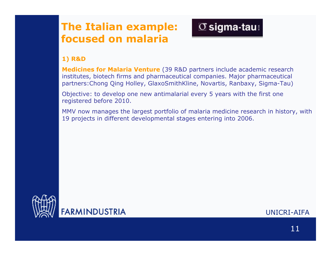## **The Italian example: focused on malaria**



#### **1) R&D**

**Medicines for Malaria Venture** (39 R&D partners include academic research institutes, biotech firms and pharmaceutical companies. Major pharmaceutical partners:Chong Qing Holley, GlaxoSmithKline, Novartis, Ranbaxy, Sigma-Tau)

Objective: to develop one new antimalarial every 5 years with the first one registered before 2010.

MMV now manages the largest portfolio of malaria medicine research in history, with 19 projects in different developmental stages entering into 2006.

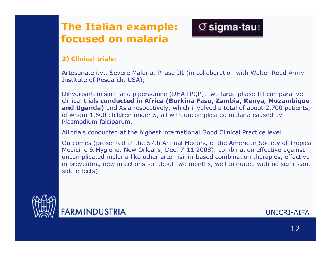## **The Italian example: focused on malaria**



#### **2) Clinical trials:**

Artesunate i.v., Severe Malaria, Phase III (in collaboration with Walter Reed Army Institute of Research, USA);

Dihydroartemisinin and piperaquine (DHA+PQP), two large phase III comparative clinical trials **conducted in Africa (Burkina Faso, Zambia, Kenya, Mozambique and Uganda)** and Asia respectively, which involved a total of about 2,700 patients, of whom 1,600 children under 5, all with uncomplicated malaria caused by Plasmodium falciparum.

All trials conducted at <u>the highest international Good Clinical Practice</u> level.

Outcomes (presented at the 57th Annual Meeting of the American Society of Tropical Medicine & Hygiene, New Orleans, Dec. 7-11 2008): combination effective against uncomplicated malaria like other artemisinin-based combination therapies, effective in preventing new infections for about two months, well tolerated with no significant side effects).



**FARMINDUSTRIA**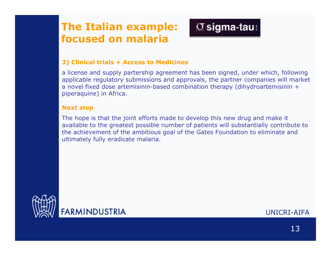### **The Italian example: focused on malaria**

# $\sigma$  sigma-tau:

#### **3) Clinical trials + Access to Medicines**

a license and supply partership agreement has been signed, under which, following applicable regulatory submissions and approvals, the partner companies will market a novel fixed dose artemisinin-based combination therapy (dihydroartemisinin <sup>+</sup> piperaquine) in Africa.

#### **Next step**

The hope is that the joint efforts made to develop this new drug and make it available to the greatest possible number of patients will substantially contribute to the achievement of the ambitious goal of the Gates Foundation to eliminate and ultimately fully eradicate malaria.